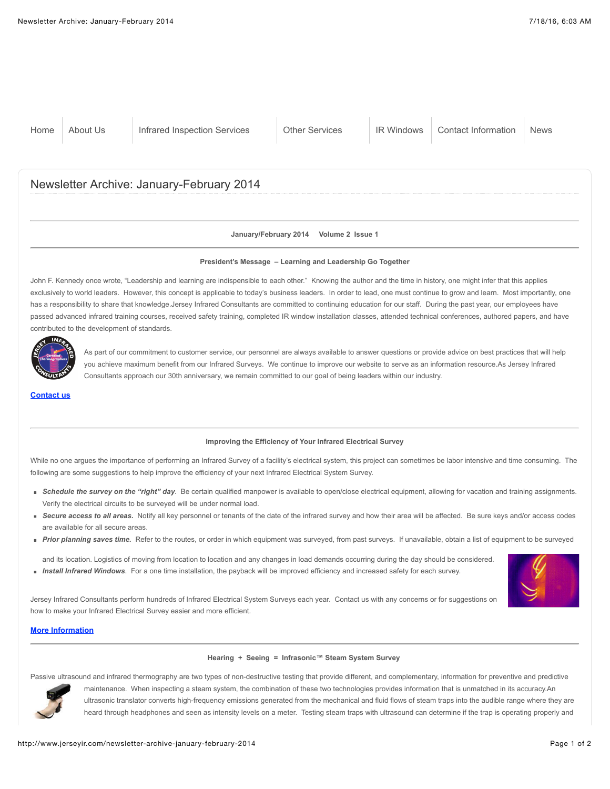#### **January/February 2014 Volume 2 Issue 1**

### **President's Message – Learning and Leadership Go Together**

John F. Kennedy once wrote, "Leadership and learning are indispensible to each other." Knowing the author and the time in history, one might infer that this applies exclusively to world leaders. However, this concept is applicable to today's business leaders. In order to lead, one must continue to grow and learn. Most importantly, one has a responsibility to share that knowledge.Jersey Infrared Consultants are committed to continuing education for our staff. During the past year, our employees have passed advanced infrared training courses, received safety training, completed IR window installation classes, attended technical conferences, authored papers, and have contributed to the development of standards.



As part of our commitment to customer service, our personnel are always available to answer questions or provide advice on best practices that will help you achieve maximum benefit from our Infrared Surveys. We continue to improve our website to serve as an information resource.As Jersey Infrared Consultants approach our 30th anniversary, we remain committed to our goal of being leaders within our industry.

**[Contact us](http://www.jerseyir.com/contact-jersey-infrared)**

#### **Improving the Efficiency of Your Infrared Electrical Survey**

While no one argues the importance of performing an Infrared Survey of a facility's electrical system, this project can sometimes be labor intensive and time consuming. The following are some suggestions to help improve the efficiency of your next Infrared Electrical System Survey.

- **Schedule the survey on the "right" day**. Be certain qualified manpower is available to open/close electrical equipment, allowing for vacation and training assignments. Verify the electrical circuits to be surveyed will be under normal load.
- **Secure access to all areas.** Notify all key personnel or tenants of the date of the infrared survey and how their area will be affected. Be sure keys and/or access codes are available for all secure areas.
- **Prior planning saves time.** Refer to the routes, or order in which equipment was surveyed, from past surveys. If unavailable, obtain a list of equipment to be surveyed

and its location. Logistics of moving from location to location and any changes in load demands occurring during the day should be considered. **Install Infrared Windows**. For a one time installation, the payback will be improved efficiency and increased safety for each survey.



# **[More Information](http://www.jerseyir.com/infrared-inspection-services/infrared-electrical-system)**

#### **Hearing + Seeing = Infrasonic™ Steam System Survey**

Passive ultrasound and infrared thermography are two types of non-destructive testing that provide different, and complementary, information for preventive and predictive



maintenance. When inspecting a steam system, the combination of these two technologies provides information that is unmatched in its accuracy.An ultrasonic translator converts high-frequency emissions generated from the mechanical and fluid flows of steam traps into the audible range where they are heard through headphones and seen as intensity levels on a meter. Testing steam traps with ultrasound can determine if the trap is operating properly and